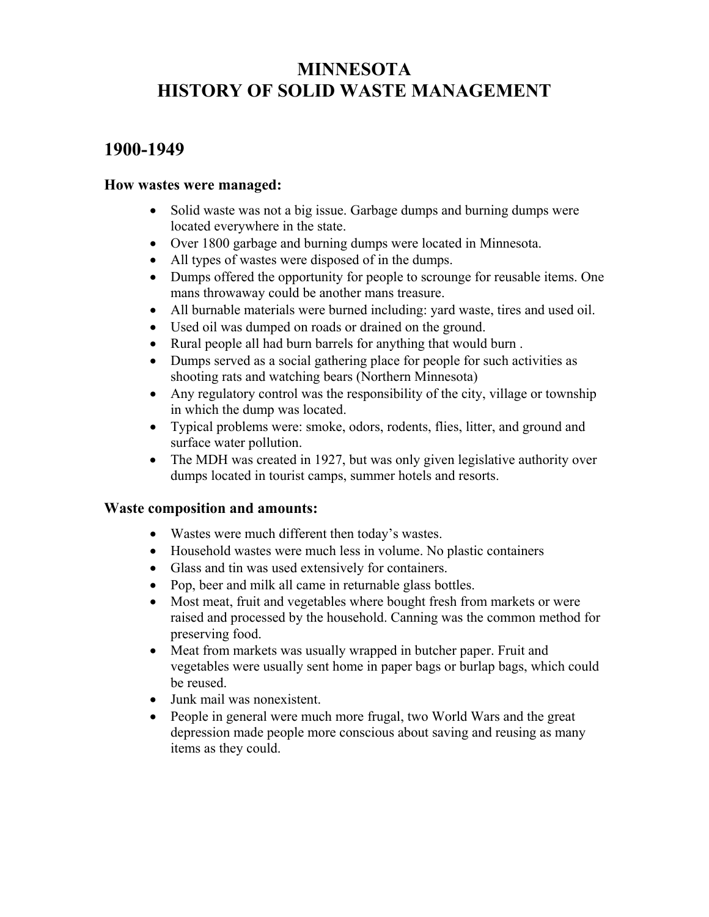# **MINNESOTA HISTORY OF SOLID WASTE MANAGEMENT**

## **1900-1949**

## **How wastes were managed:**

- Solid waste was not a big issue. Garbage dumps and burning dumps were located everywhere in the state.
- Over 1800 garbage and burning dumps were located in Minnesota.
- All types of wastes were disposed of in the dumps.
- Dumps offered the opportunity for people to scrounge for reusable items. One mans throwaway could be another mans treasure.
- All burnable materials were burned including: yard waste, tires and used oil.
- Used oil was dumped on roads or drained on the ground.
- Rural people all had burn barrels for anything that would burn .
- Dumps served as a social gathering place for people for such activities as shooting rats and watching bears (Northern Minnesota)
- Any regulatory control was the responsibility of the city, village or township in which the dump was located.
- Typical problems were: smoke, odors, rodents, flies, litter, and ground and surface water pollution.
- The MDH was created in 1927, but was only given legislative authority over dumps located in tourist camps, summer hotels and resorts.

#### **Waste composition and amounts:**

- Wastes were much different then today's wastes.
- Household wastes were much less in volume. No plastic containers
- Glass and tin was used extensively for containers.
- Pop, beer and milk all came in returnable glass bottles.
- Most meat, fruit and vegetables where bought fresh from markets or were raised and processed by the household. Canning was the common method for preserving food.
- Meat from markets was usually wrapped in butcher paper. Fruit and vegetables were usually sent home in paper bags or burlap bags, which could be reused.
- Junk mail was nonexistent.
- People in general were much more frugal, two World Wars and the great depression made people more conscious about saving and reusing as many items as they could.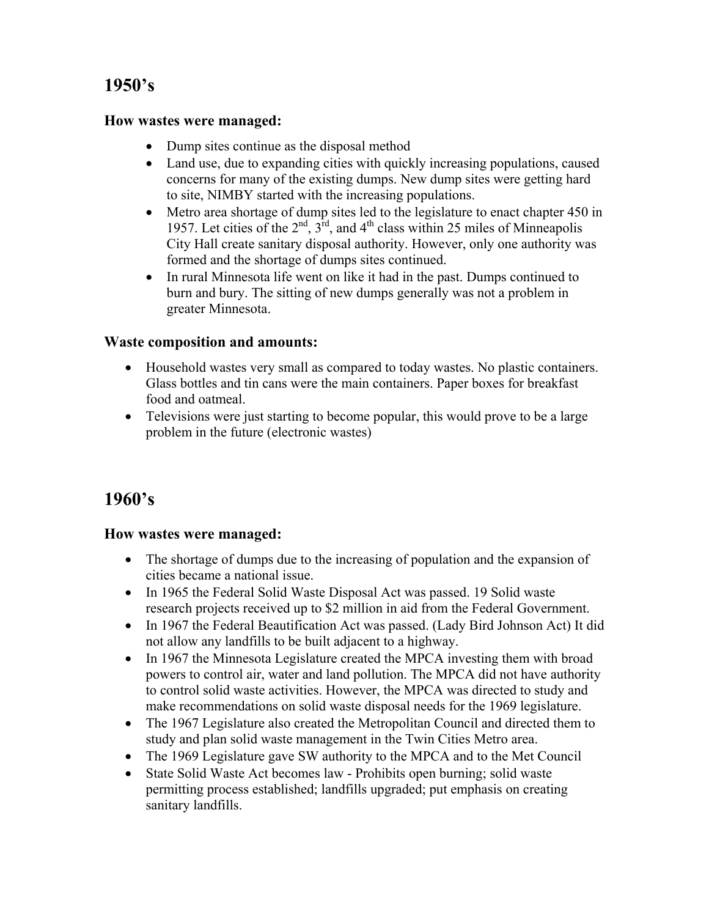# **1950's**

#### **How wastes were managed:**

- Dump sites continue as the disposal method
- Land use, due to expanding cities with quickly increasing populations, caused concerns for many of the existing dumps. New dump sites were getting hard to site, NIMBY started with the increasing populations.
- Metro area shortage of dump sites led to the legislature to enact chapter 450 in 1957. Let cities of the  $2<sup>nd</sup>$ ,  $3<sup>rd</sup>$ , and  $4<sup>th</sup>$  class within 25 miles of Minneapolis City Hall create sanitary disposal authority. However, only one authority was formed and the shortage of dumps sites continued.
- In rural Minnesota life went on like it had in the past. Dumps continued to burn and bury. The sitting of new dumps generally was not a problem in greater Minnesota.

## **Waste composition and amounts:**

- Household wastes very small as compared to today wastes. No plastic containers. Glass bottles and tin cans were the main containers. Paper boxes for breakfast food and oatmeal.
- Televisions were just starting to become popular, this would prove to be a large problem in the future (electronic wastes)

## **1960's**

#### **How wastes were managed:**

- The shortage of dumps due to the increasing of population and the expansion of cities became a national issue.
- In 1965 the Federal Solid Waste Disposal Act was passed. 19 Solid waste research projects received up to \$2 million in aid from the Federal Government.
- In 1967 the Federal Beautification Act was passed. (Lady Bird Johnson Act) It did not allow any landfills to be built adjacent to a highway.
- In 1967 the Minnesota Legislature created the MPCA investing them with broad powers to control air, water and land pollution. The MPCA did not have authority to control solid waste activities. However, the MPCA was directed to study and make recommendations on solid waste disposal needs for the 1969 legislature.
- The 1967 Legislature also created the Metropolitan Council and directed them to study and plan solid waste management in the Twin Cities Metro area.
- The 1969 Legislature gave SW authority to the MPCA and to the Met Council
- State Solid Waste Act becomes law Prohibits open burning; solid waste permitting process established; landfills upgraded; put emphasis on creating sanitary landfills.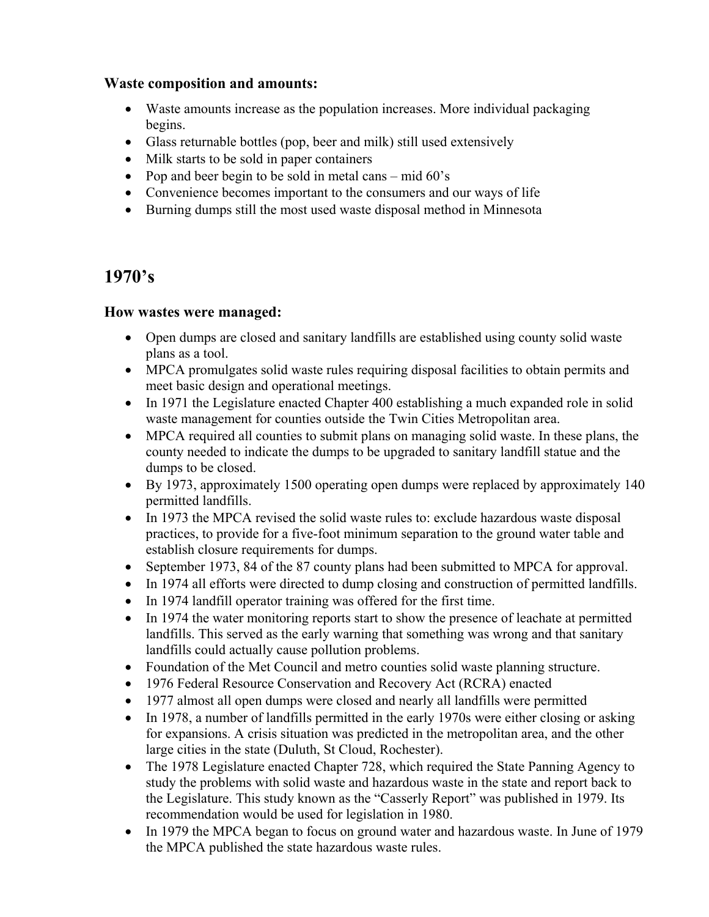#### **Waste composition and amounts:**

- Waste amounts increase as the population increases. More individual packaging begins.
- Glass returnable bottles (pop, beer and milk) still used extensively
- Milk starts to be sold in paper containers
- Pop and beer begin to be sold in metal cans mid 60's
- Convenience becomes important to the consumers and our ways of life
- Burning dumps still the most used waste disposal method in Minnesota

## **1970's**

## **How wastes were managed:**

- Open dumps are closed and sanitary landfills are established using county solid waste plans as a tool.
- MPCA promulgates solid waste rules requiring disposal facilities to obtain permits and meet basic design and operational meetings.
- In 1971 the Legislature enacted Chapter 400 establishing a much expanded role in solid waste management for counties outside the Twin Cities Metropolitan area.
- MPCA required all counties to submit plans on managing solid waste. In these plans, the county needed to indicate the dumps to be upgraded to sanitary landfill statue and the dumps to be closed.
- By 1973, approximately 1500 operating open dumps were replaced by approximately 140 permitted landfills.
- In 1973 the MPCA revised the solid waste rules to: exclude hazardous waste disposal practices, to provide for a five-foot minimum separation to the ground water table and establish closure requirements for dumps.
- September 1973, 84 of the 87 county plans had been submitted to MPCA for approval.
- In 1974 all efforts were directed to dump closing and construction of permitted landfills.
- In 1974 landfill operator training was offered for the first time.
- In 1974 the water monitoring reports start to show the presence of leachate at permitted landfills. This served as the early warning that something was wrong and that sanitary landfills could actually cause pollution problems.
- Foundation of the Met Council and metro counties solid waste planning structure.
- 1976 Federal Resource Conservation and Recovery Act (RCRA) enacted
- 1977 almost all open dumps were closed and nearly all landfills were permitted
- In 1978, a number of landfills permitted in the early 1970s were either closing or asking for expansions. A crisis situation was predicted in the metropolitan area, and the other large cities in the state (Duluth, St Cloud, Rochester).
- The 1978 Legislature enacted Chapter 728, which required the State Panning Agency to study the problems with solid waste and hazardous waste in the state and report back to the Legislature. This study known as the "Casserly Report" was published in 1979. Its recommendation would be used for legislation in 1980.
- In 1979 the MPCA began to focus on ground water and hazardous waste. In June of 1979 the MPCA published the state hazardous waste rules.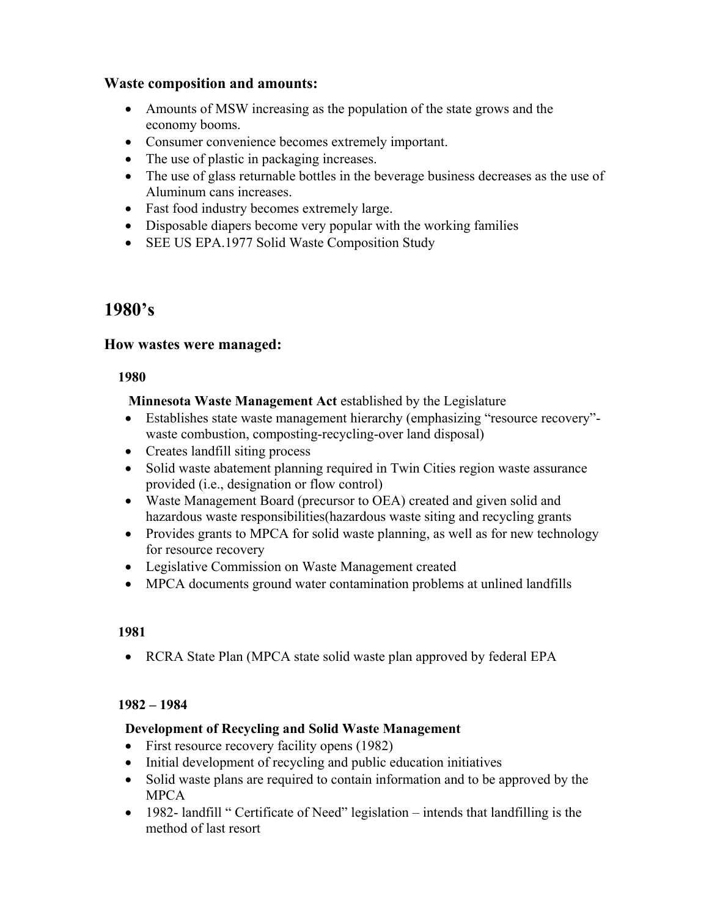#### **Waste composition and amounts:**

- Amounts of MSW increasing as the population of the state grows and the economy booms.
- Consumer convenience becomes extremely important.
- The use of plastic in packaging increases.
- The use of glass returnable bottles in the beverage business decreases as the use of Aluminum cans increases.
- Fast food industry becomes extremely large.
- Disposable diapers become very popular with the working families
- SEE US EPA.1977 Solid Waste Composition Study

## **1980's**

## **How wastes were managed:**

#### **1980**

## **Minnesota Waste Management Act** established by the Legislature

- Establishes state waste management hierarchy (emphasizing "resource recovery" waste combustion, composting-recycling-over land disposal)
- Creates landfill siting process
- Solid waste abatement planning required in Twin Cities region waste assurance provided (i.e., designation or flow control)
- Waste Management Board (precursor to OEA) created and given solid and hazardous waste responsibilities(hazardous waste siting and recycling grants
- Provides grants to MPCA for solid waste planning, as well as for new technology for resource recovery
- Legislative Commission on Waste Management created
- MPCA documents ground water contamination problems at unlined landfills

#### **1981**

• RCRA State Plan (MPCA state solid waste plan approved by federal EPA

#### **1982 – 1984**

#### **Development of Recycling and Solid Waste Management**

- First resource recovery facility opens (1982)
- Initial development of recycling and public education initiatives
- Solid waste plans are required to contain information and to be approved by the MPCA
- 1982- landfill " Certificate of Need" legislation intends that landfilling is the method of last resort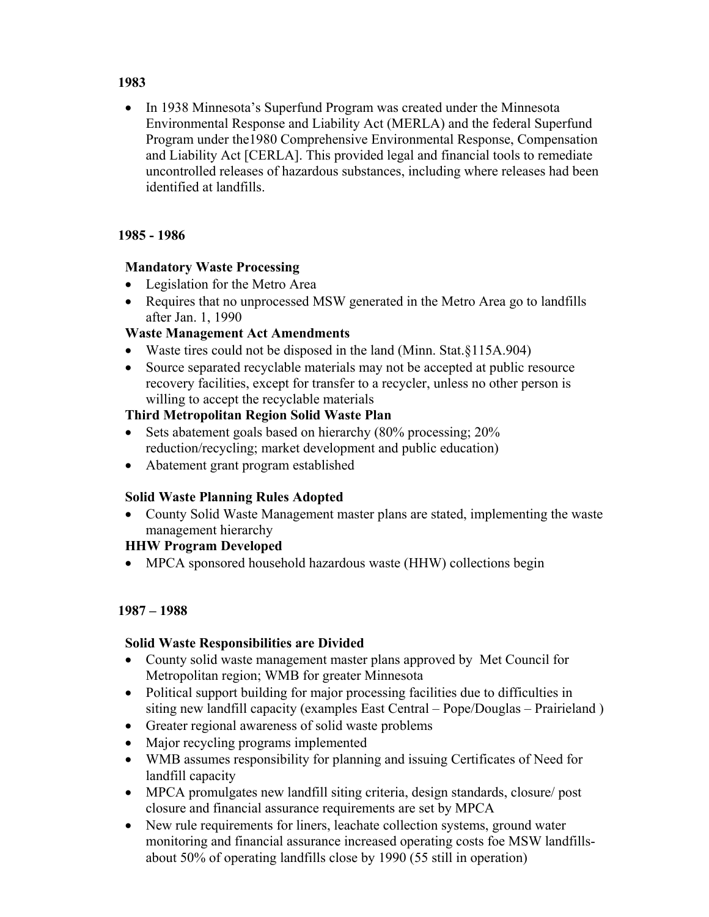#### **1983**

• In 1938 Minnesota's Superfund Program was created under the Minnesota Environmental Response and Liability Act (MERLA) and the federal Superfund Program under the1980 Comprehensive Environmental Response, Compensation and Liability Act [CERLA]. This provided legal and financial tools to remediate uncontrolled releases of hazardous substances, including where releases had been identified at landfills.

#### **1985 - 1986**

## **Mandatory Waste Processing**

- Legislation for the Metro Area
- Requires that no unprocessed MSW generated in the Metro Area go to landfills after Jan. 1, 1990

## **Waste Management Act Amendments**

- Waste tires could not be disposed in the land (Minn. Stat.§115A.904)
- Source separated recyclable materials may not be accepted at public resource recovery facilities, except for transfer to a recycler, unless no other person is willing to accept the recyclable materials

## **Third Metropolitan Region Solid Waste Plan**

- Sets abatement goals based on hierarchy (80% processing; 20% reduction/recycling; market development and public education)
- Abatement grant program established

#### **Solid Waste Planning Rules Adopted**

• County Solid Waste Management master plans are stated, implementing the waste management hierarchy

#### **HHW Program Developed**

• MPCA sponsored household hazardous waste (HHW) collections begin

#### **1987 – 1988**

#### **Solid Waste Responsibilities are Divided**

- County solid waste management master plans approved by Met Council for Metropolitan region; WMB for greater Minnesota
- Political support building for major processing facilities due to difficulties in siting new landfill capacity (examples East Central – Pope/Douglas – Prairieland )
- Greater regional awareness of solid waste problems
- Major recycling programs implemented
- WMB assumes responsibility for planning and issuing Certificates of Need for landfill capacity
- MPCA promulgates new landfill siting criteria, design standards, closure/post closure and financial assurance requirements are set by MPCA
- New rule requirements for liners, leachate collection systems, ground water monitoring and financial assurance increased operating costs foe MSW landfillsabout 50% of operating landfills close by 1990 (55 still in operation)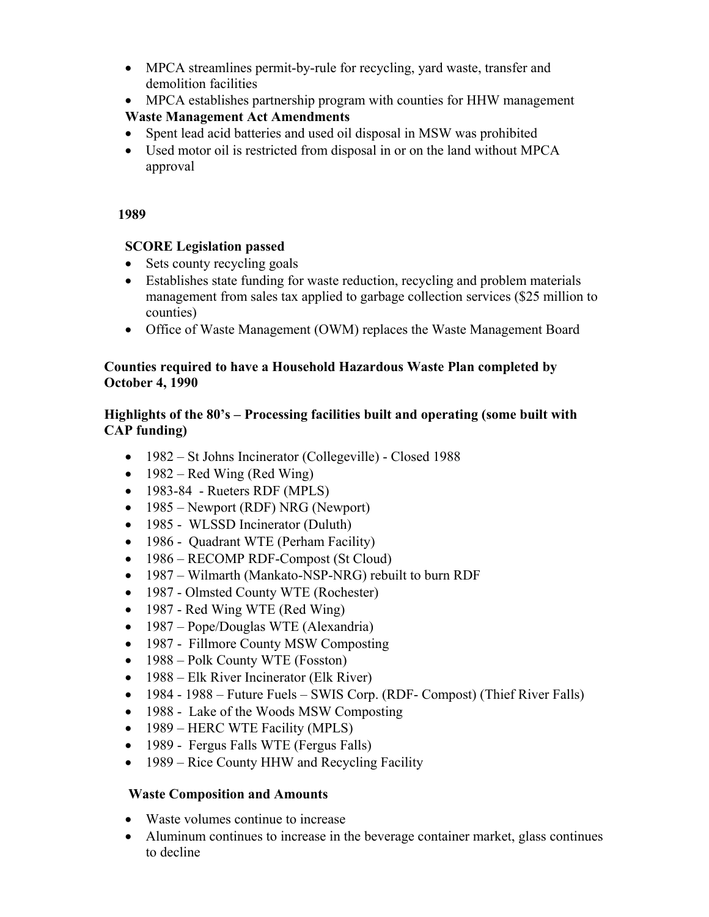- MPCA streamlines permit-by-rule for recycling, yard waste, transfer and demolition facilities
- MPCA establishes partnership program with counties for HHW management

## **Waste Management Act Amendments**

- Spent lead acid batteries and used oil disposal in MSW was prohibited
- Used motor oil is restricted from disposal in or on the land without MPCA approval

## **1989**

## **SCORE Legislation passed**

- Sets county recycling goals
- Establishes state funding for waste reduction, recycling and problem materials management from sales tax applied to garbage collection services (\$25 million to counties)
- Office of Waste Management (OWM) replaces the Waste Management Board

## **Counties required to have a Household Hazardous Waste Plan completed by October 4, 1990**

## **Highlights of the 80's – Processing facilities built and operating (some built with CAP funding)**

- 1982 St Johns Incinerator (Collegeville) Closed 1988
- 1982 Red Wing (Red Wing)
- 1983-84 Rueters RDF (MPLS)
- 1985 Newport (RDF) NRG (Newport)
- 1985 WLSSD Incinerator (Duluth)
- 1986 Quadrant WTE (Perham Facility)
- 1986 RECOMP RDF-Compost (St Cloud)
- 1987 Wilmarth (Mankato-NSP-NRG) rebuilt to burn RDF
- 1987 Olmsted County WTE (Rochester)
- 1987 Red Wing WTE (Red Wing)
- 1987 Pope/Douglas WTE (Alexandria)
- 1987 Fillmore County MSW Composting
- 1988 Polk County WTE (Fosston)
- 1988 Elk River Incinerator (Elk River)
- 1984 1988 Future Fuels SWIS Corp. (RDF- Compost) (Thief River Falls)
- 1988 Lake of the Woods MSW Composting
- 1989 HERC WTE Facility (MPLS)
- 1989 Fergus Falls WTE (Fergus Falls)
- 1989 Rice County HHW and Recycling Facility

## **Waste Composition and Amounts**

- Waste volumes continue to increase
- Aluminum continues to increase in the beverage container market, glass continues to decline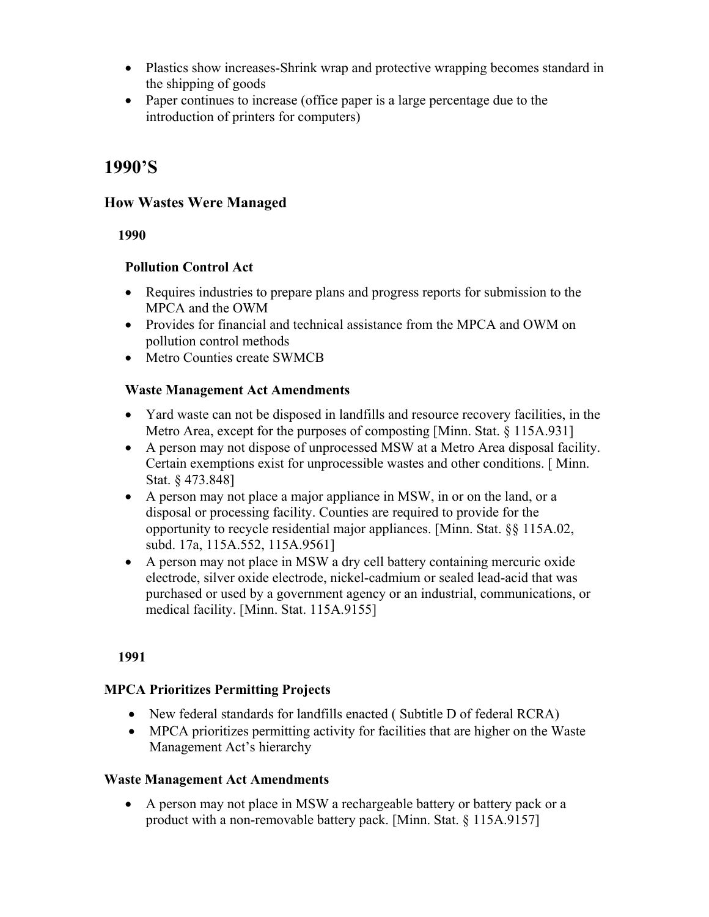- Plastics show increases-Shrink wrap and protective wrapping becomes standard in the shipping of goods
- Paper continues to increase (office paper is a large percentage due to the introduction of printers for computers)

## **1990'S**

## **How Wastes Were Managed**

 **1990** 

## **Pollution Control Act**

- Requires industries to prepare plans and progress reports for submission to the MPCA and the OWM
- Provides for financial and technical assistance from the MPCA and OWM on pollution control methods
- Metro Counties create SWMCB

## **Waste Management Act Amendments**

- Yard waste can not be disposed in landfills and resource recovery facilities, in the Metro Area, except for the purposes of composting [Minn. Stat. § 115A.931]
- A person may not dispose of unprocessed MSW at a Metro Area disposal facility. Certain exemptions exist for unprocessible wastes and other conditions. [ Minn. Stat. § 473.848]
- A person may not place a major appliance in MSW, in or on the land, or a disposal or processing facility. Counties are required to provide for the opportunity to recycle residential major appliances. [Minn. Stat. §§ 115A.02, subd. 17a, 115A.552, 115A.9561]
- A person may not place in MSW a dry cell battery containing mercuric oxide electrode, silver oxide electrode, nickel-cadmium or sealed lead-acid that was purchased or used by a government agency or an industrial, communications, or medical facility. [Minn. Stat. 115A.9155]

 **1991** 

## **MPCA Prioritizes Permitting Projects**

- New federal standards for landfills enacted (Subtitle D of federal RCRA)
- MPCA prioritizes permitting activity for facilities that are higher on the Waste Management Act's hierarchy

## **Waste Management Act Amendments**

• A person may not place in MSW a rechargeable battery or battery pack or a product with a non-removable battery pack. [Minn. Stat. § 115A.9157]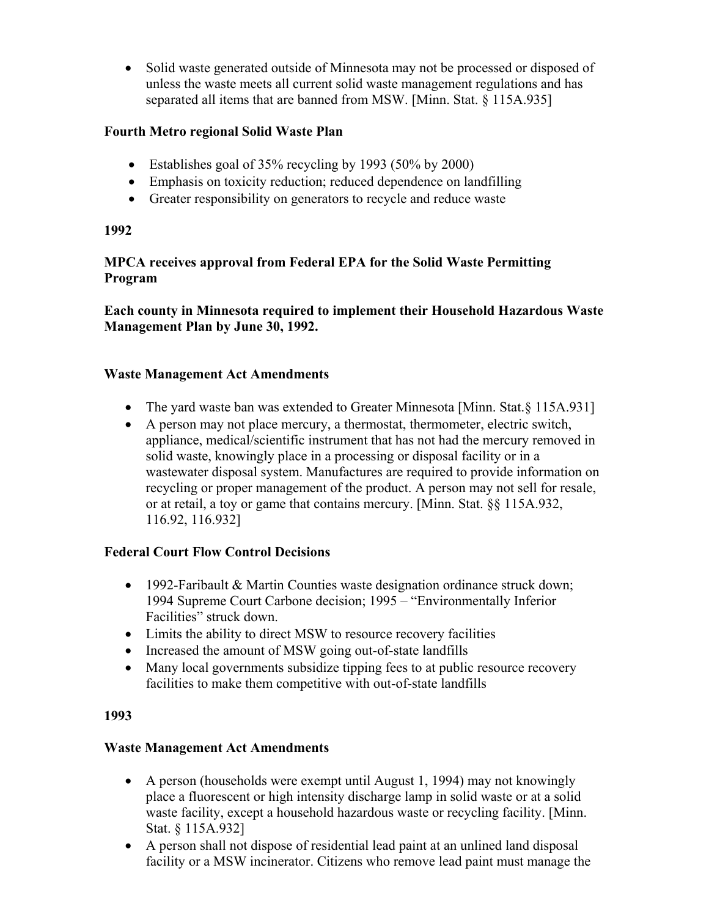• Solid waste generated outside of Minnesota may not be processed or disposed of unless the waste meets all current solid waste management regulations and has separated all items that are banned from MSW. [Minn. Stat. § 115A.935]

## **Fourth Metro regional Solid Waste Plan**

- Establishes goal of 35% recycling by 1993 (50% by 2000)
- Emphasis on toxicity reduction; reduced dependence on landfilling
- Greater responsibility on generators to recycle and reduce waste

#### **1992**

## **MPCA receives approval from Federal EPA for the Solid Waste Permitting Program**

**Each county in Minnesota required to implement their Household Hazardous Waste Management Plan by June 30, 1992.** 

#### **Waste Management Act Amendments**

- The yard waste ban was extended to Greater Minnesota [Minn. Stat. § 115A.931]
- A person may not place mercury, a thermostat, thermometer, electric switch, appliance, medical/scientific instrument that has not had the mercury removed in solid waste, knowingly place in a processing or disposal facility or in a wastewater disposal system. Manufactures are required to provide information on recycling or proper management of the product. A person may not sell for resale, or at retail, a toy or game that contains mercury. [Minn. Stat. §§ 115A.932, 116.92, 116.932]

## **Federal Court Flow Control Decisions**

- 1992-Faribault & Martin Counties waste designation ordinance struck down; 1994 Supreme Court Carbone decision; 1995 – "Environmentally Inferior Facilities" struck down.
- Limits the ability to direct MSW to resource recovery facilities
- Increased the amount of MSW going out-of-state landfills
- Many local governments subsidize tipping fees to at public resource recovery facilities to make them competitive with out-of-state landfills

#### **1993**

#### **Waste Management Act Amendments**

- A person (households were exempt until August 1, 1994) may not knowingly place a fluorescent or high intensity discharge lamp in solid waste or at a solid waste facility, except a household hazardous waste or recycling facility. [Minn. Stat. § 115A.932]
- A person shall not dispose of residential lead paint at an unlined land disposal facility or a MSW incinerator. Citizens who remove lead paint must manage the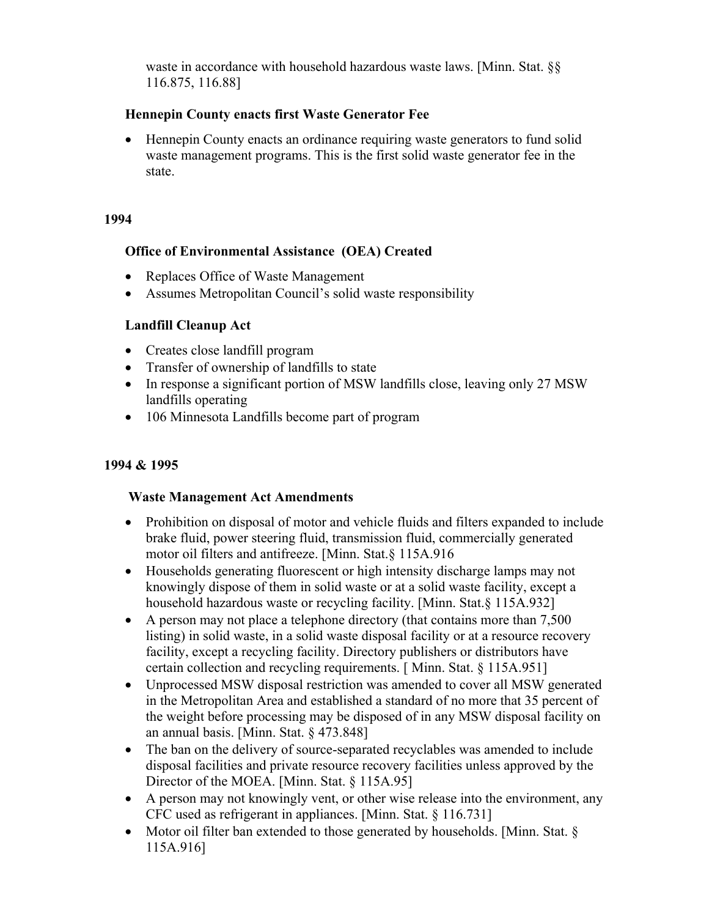waste in accordance with household hazardous waste laws. [Minn. Stat. §§ 116.875, 116.88]

## **Hennepin County enacts first Waste Generator Fee**

• Hennepin County enacts an ordinance requiring waste generators to fund solid waste management programs. This is the first solid waste generator fee in the state.

#### **1994**

#### **Office of Environmental Assistance (OEA) Created**

- Replaces Office of Waste Management
- Assumes Metropolitan Council's solid waste responsibility

## **Landfill Cleanup Act**

- Creates close landfill program
- Transfer of ownership of landfills to state
- In response a significant portion of MSW landfills close, leaving only 27 MSW landfills operating
- 106 Minnesota Landfills become part of program

## **1994 & 1995**

#### **Waste Management Act Amendments**

- Prohibition on disposal of motor and vehicle fluids and filters expanded to include brake fluid, power steering fluid, transmission fluid, commercially generated motor oil filters and antifreeze. [Minn. Stat.§ 115A.916
- Households generating fluorescent or high intensity discharge lamps may not knowingly dispose of them in solid waste or at a solid waste facility, except a household hazardous waste or recycling facility. [Minn. Stat.§ 115A.932]
- A person may not place a telephone directory (that contains more than 7.500) listing) in solid waste, in a solid waste disposal facility or at a resource recovery facility, except a recycling facility. Directory publishers or distributors have certain collection and recycling requirements. [ Minn. Stat. § 115A.951]
- Unprocessed MSW disposal restriction was amended to cover all MSW generated in the Metropolitan Area and established a standard of no more that 35 percent of the weight before processing may be disposed of in any MSW disposal facility on an annual basis. [Minn. Stat. § 473.848]
- The ban on the delivery of source-separated recyclables was amended to include disposal facilities and private resource recovery facilities unless approved by the Director of the MOEA. [Minn. Stat. § 115A.95]
- A person may not knowingly vent, or other wise release into the environment, any CFC used as refrigerant in appliances. [Minn. Stat. § 116.731]
- Motor oil filter ban extended to those generated by households. [Minn. Stat. § 115A.916]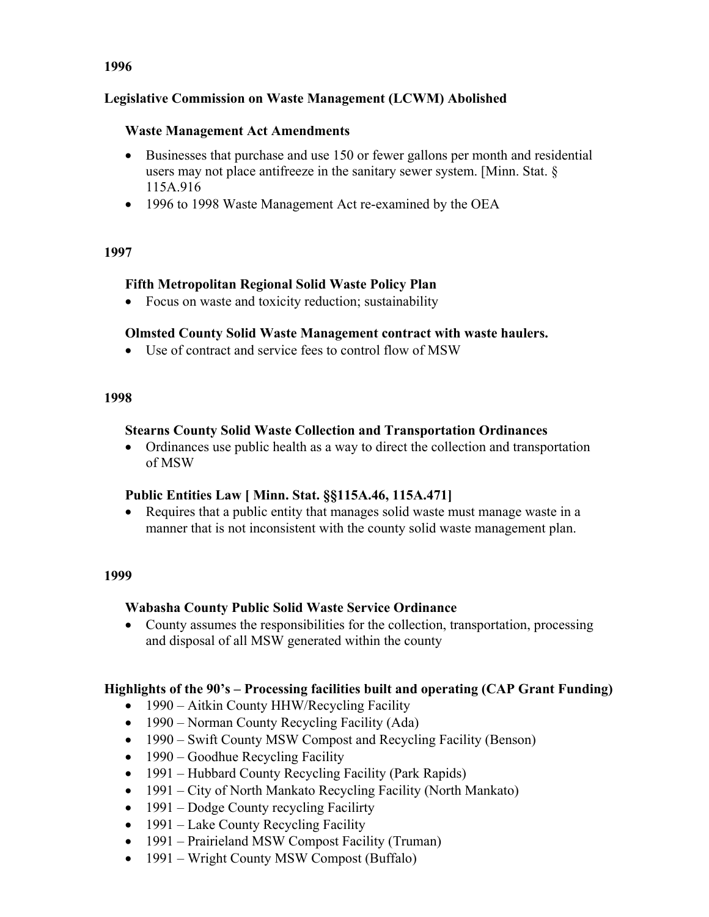## **Legislative Commission on Waste Management (LCWM) Abolished**

#### **Waste Management Act Amendments**

- Businesses that purchase and use 150 or fewer gallons per month and residential users may not place antifreeze in the sanitary sewer system. [Minn. Stat. § 115A.916
- 1996 to 1998 Waste Management Act re-examined by the OEA

#### **1997**

## **Fifth Metropolitan Regional Solid Waste Policy Plan**

• Focus on waste and toxicity reduction; sustainability

## **Olmsted County Solid Waste Management contract with waste haulers.**

• Use of contract and service fees to control flow of MSW

#### **1998**

## **Stearns County Solid Waste Collection and Transportation Ordinances**

• Ordinances use public health as a way to direct the collection and transportation of MSW

## **Public Entities Law [ Minn. Stat. §§115A.46, 115A.471]**

• Requires that a public entity that manages solid waste must manage waste in a manner that is not inconsistent with the county solid waste management plan.

#### **1999**

## **Wabasha County Public Solid Waste Service Ordinance**

• County assumes the responsibilities for the collection, transportation, processing and disposal of all MSW generated within the county

## **Highlights of the 90's – Processing facilities built and operating (CAP Grant Funding)**

- 1990 Aitkin County HHW/Recycling Facility
- 1990 Norman County Recycling Facility (Ada)
- 1990 Swift County MSW Compost and Recycling Facility (Benson)
- 1990 Goodhue Recycling Facility
- 1991 Hubbard County Recycling Facility (Park Rapids)
- 1991 City of North Mankato Recycling Facility (North Mankato)
- 1991 Dodge County recycling Facilirty
- 1991 Lake County Recycling Facility
- 1991 Prairieland MSW Compost Facility (Truman)
- 1991 Wright County MSW Compost (Buffalo)

## **1996**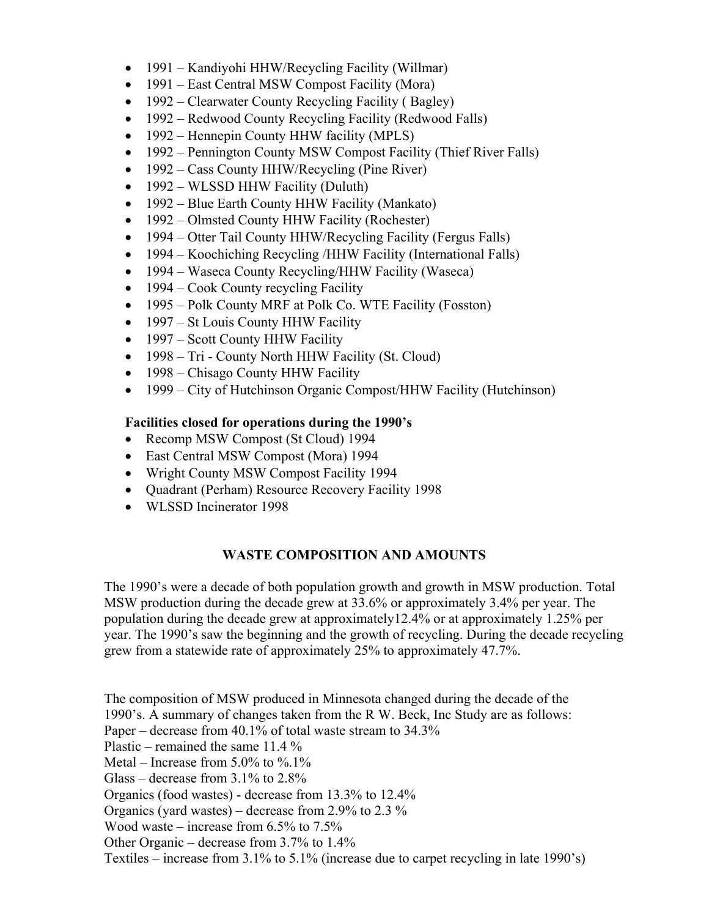- 1991 Kandiyohi HHW/Recycling Facility (Willmar)
- 1991 East Central MSW Compost Facility (Mora)
- 1992 Clearwater County Recycling Facility (Bagley)
- 1992 Redwood County Recycling Facility (Redwood Falls)
- 1992 Hennepin County HHW facility (MPLS)
- 1992 Pennington County MSW Compost Facility (Thief River Falls)
- 1992 Cass County HHW/Recycling (Pine River)
- 1992 WLSSD HHW Facility (Duluth)
- 1992 Blue Earth County HHW Facility (Mankato)
- 1992 Olmsted County HHW Facility (Rochester)
- 1994 Otter Tail County HHW/Recycling Facility (Fergus Falls)
- 1994 Koochiching Recycling /HHW Facility (International Falls)
- 1994 Waseca County Recycling/HHW Facility (Waseca)
- 1994 Cook County recycling Facility
- 1995 Polk County MRF at Polk Co. WTE Facility (Fosston)
- 1997 St Louis County HHW Facility
- 1997 Scott County HHW Facility
- 1998 Tri County North HHW Facility (St. Cloud)
- 1998 Chisago County HHW Facility
- 1999 City of Hutchinson Organic Compost/HHW Facility (Hutchinson)

## **Facilities closed for operations during the 1990's**

- Recomp MSW Compost (St Cloud) 1994
- East Central MSW Compost (Mora) 1994
- Wright County MSW Compost Facility 1994
- Quadrant (Perham) Resource Recovery Facility 1998
- WLSSD Incinerator 1998

## **WASTE COMPOSITION AND AMOUNTS**

The 1990's were a decade of both population growth and growth in MSW production. Total MSW production during the decade grew at 33.6% or approximately 3.4% per year. The population during the decade grew at approximately12.4% or at approximately 1.25% per year. The 1990's saw the beginning and the growth of recycling. During the decade recycling grew from a statewide rate of approximately 25% to approximately 47.7%.

The composition of MSW produced in Minnesota changed during the decade of the 1990's. A summary of changes taken from the R W. Beck, Inc Study are as follows: Paper – decrease from 40.1% of total waste stream to 34.3% Plastic – remained the same  $11.4\%$ Metal – Increase from  $5.0\%$  to  $\%$ .1% Glass – decrease from  $3.1\%$  to  $2.8\%$ Organics (food wastes) - decrease from 13.3% to 12.4% Organics (yard wastes) – decrease from 2.9% to 2.3 % Wood waste – increase from 6.5% to 7.5% Other Organic – decrease from 3.7% to 1.4% Textiles – increase from 3.1% to 5.1% (increase due to carpet recycling in late 1990's)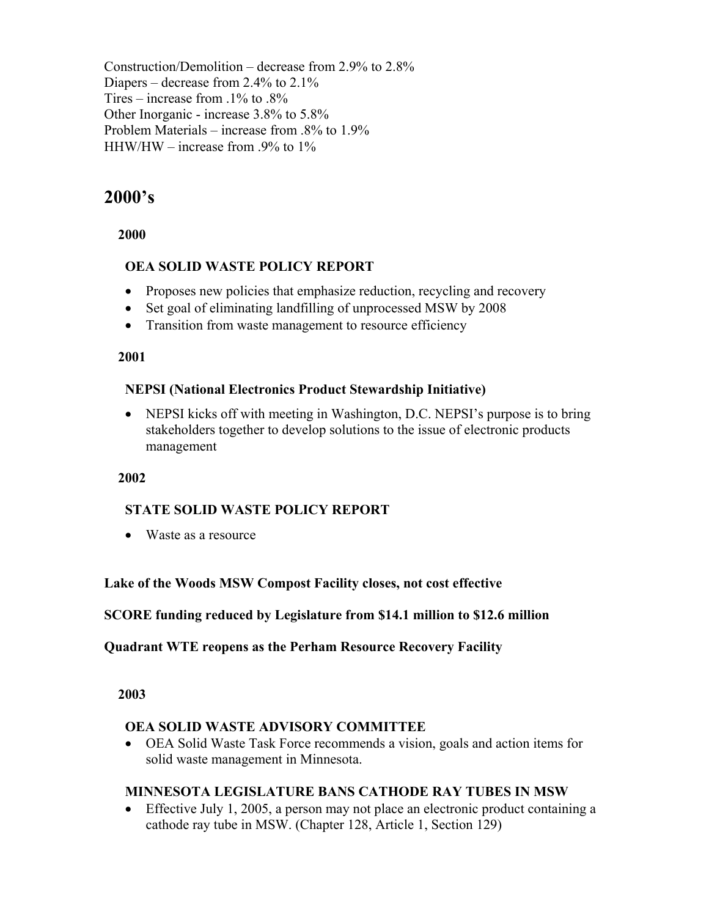Construction/Demolition – decrease from 2.9% to 2.8% Diapers – decrease from 2.4% to 2.1% Tires – increase from  $.1\%$  to  $.8\%$ Other Inorganic - increase 3.8% to 5.8% Problem Materials – increase from .8% to 1.9% HHW/HW – increase from .9% to 1%

## **2000's**

 **2000** 

## **OEA SOLID WASTE POLICY REPORT**

- Proposes new policies that emphasize reduction, recycling and recovery
- Set goal of eliminating landfilling of unprocessed MSW by 2008
- Transition from waste management to resource efficiency

#### **2001**

## **NEPSI (National Electronics Product Stewardship Initiative)**

• NEPSI kicks off with meeting in Washington, D.C. NEPSI's purpose is to bring stakeholders together to develop solutions to the issue of electronic products management

#### **2002**

#### **STATE SOLID WASTE POLICY REPORT**

• Waste as a resource

#### **Lake of the Woods MSW Compost Facility closes, not cost effective**

#### **SCORE funding reduced by Legislature from \$14.1 million to \$12.6 million**

#### **Quadrant WTE reopens as the Perham Resource Recovery Facility**

#### **2003**

#### **OEA SOLID WASTE ADVISORY COMMITTEE**

• OEA Solid Waste Task Force recommends a vision, goals and action items for solid waste management in Minnesota.

#### **MINNESOTA LEGISLATURE BANS CATHODE RAY TUBES IN MSW**

• Effective July 1, 2005, a person may not place an electronic product containing a cathode ray tube in MSW. (Chapter 128, Article 1, Section 129)